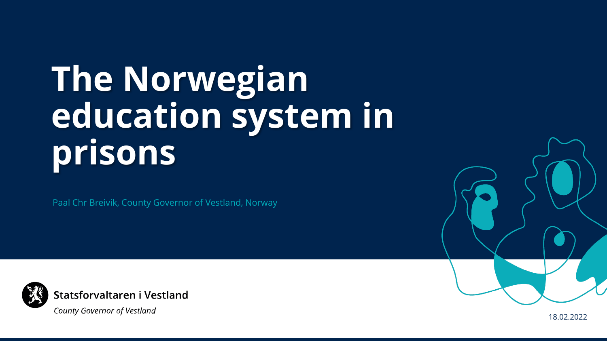# **The Norwegian education system in prisons**

Paal Chr Breivik, County Governor of Vestland, Norway



**County Governor of Vestland** 

18.02.2022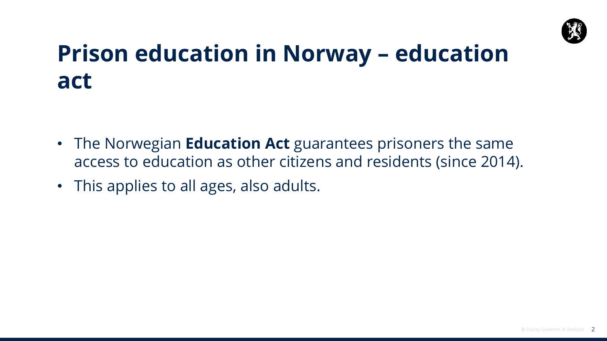

#### **Prison education in Norway – education act**

- The Norwegian **Education Act** guarantees prisoners the same access to education as other citizens and residents (since 2014).
- This applies to all ages, also adults.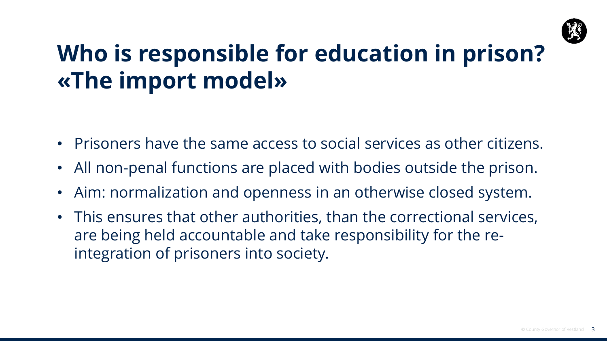

# **Who is responsible for education in prison? «The import model»**

- Prisoners have the same access to social services as other citizens.
- All non-penal functions are placed with bodies outside the prison.
- Aim: normalization and openness in an otherwise closed system.
- This ensures that other authorities, than the correctional services, are being held accountable and take responsibility for the reintegration of prisoners into society.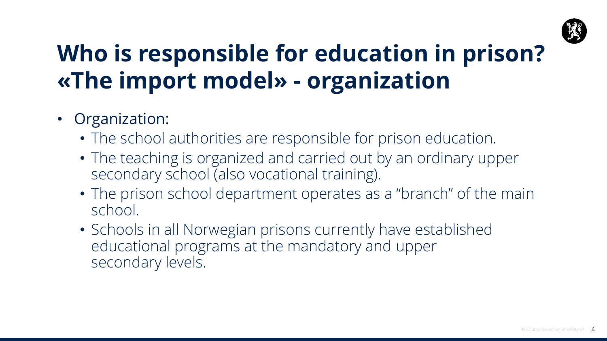

# **Who is responsible for education in prison? «The import model» - organization**

- Organization:
	- The school authorities are responsible for prison education.
	- The teaching is organized and carried out by an ordinary upper secondary school (also vocational training).
	- The prison school department operates as a "branch" of the main school.
	- Schools in all Norwegian prisons currently have established educational programs at the mandatory and upper secondary levels.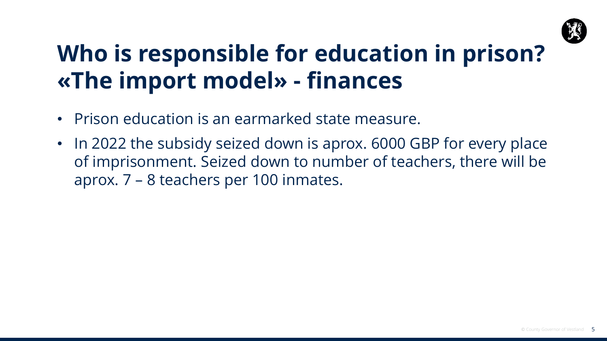

### **Who is responsible for education in prison? «The import model» - finances**

- Prison education is an earmarked state measure.
- In 2022 the subsidy seized down is aprox. 6000 GBP for every place of imprisonment. Seized down to number of teachers, there will be aprox. 7 – 8 teachers per 100 inmates.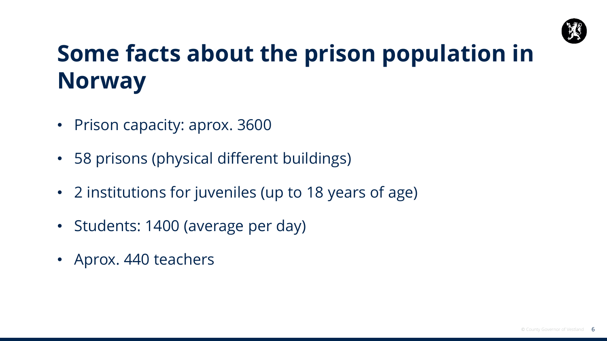

# **Some facts about the prison population in Norway**

- Prison capacity: aprox. 3600
- 58 prisons (physical different buildings)
- 2 institutions for juveniles (up to 18 years of age)
- Students: 1400 (average per day)
- Aprox. 440 teachers